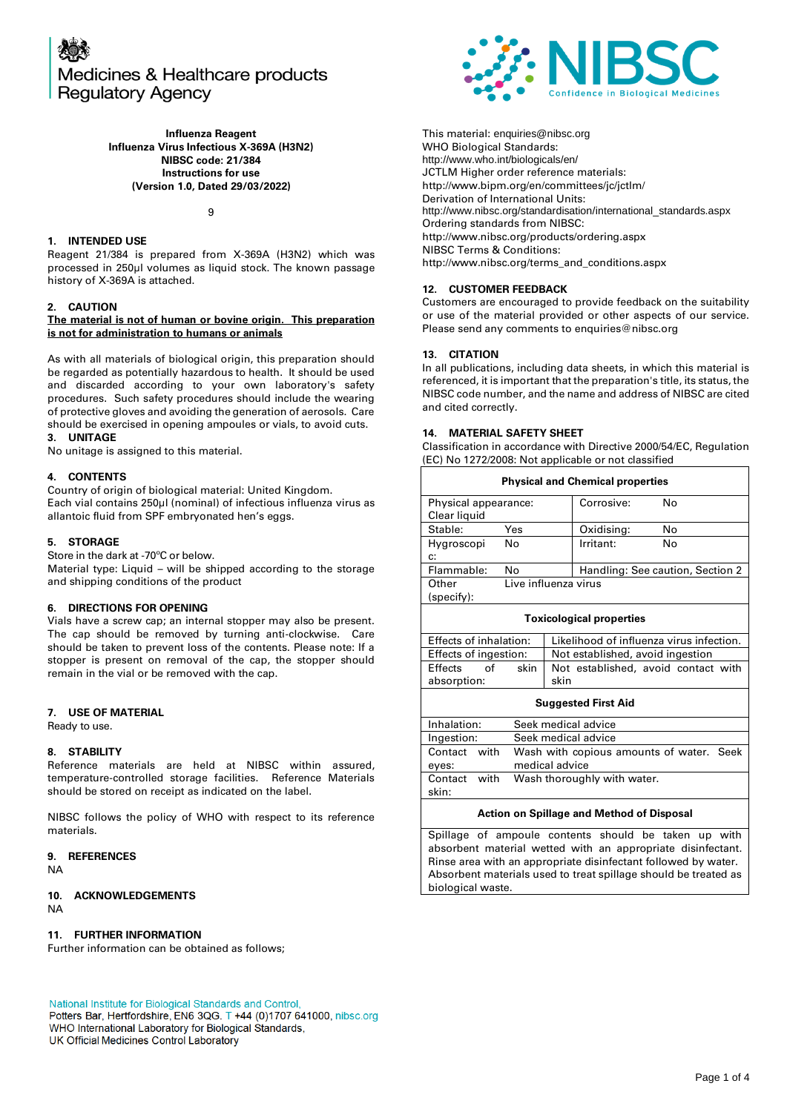

**Influenza Reagent Influenza Virus Infectious X-369A (H3N2) NIBSC code: 21/384 Instructions for use (Version 1.0, Dated 29/03/2022)**

 $\mathsf{o}$ 

#### **1. INTENDED USE**

Reagent 21/384 is prepared from X-369A (H3N2) which was processed in 250µl volumes as liquid stock. The known passage history of X-369A is attached.

#### **2. CAUTION**

#### **The material is not of human or bovine origin. This preparation is not for administration to humans or animals**

As with all materials of biological origin, this preparation should be regarded as potentially hazardous to health. It should be used and discarded according to your own laboratory's safety procedures. Such safety procedures should include the wearing of protective gloves and avoiding the generation of aerosols. Care should be exercised in opening ampoules or vials, to avoid cuts. **3. UNITAGE**

No unitage is assigned to this material.

#### **4. CONTENTS**

Country of origin of biological material: United Kingdom. Each vial contains 250µl (nominal) of infectious influenza virus as allantoic fluid from SPF embryonated hen's eggs.

#### **5. STORAGE**

Store in the dark at -70ºC or below.

Material type: Liquid – will be shipped according to the storage and shipping conditions of the product

#### **6. DIRECTIONS FOR OPENING**

Vials have a screw cap; an internal stopper may also be present. The cap should be removed by turning anti-clockwise. Care should be taken to prevent loss of the contents. Please note: If a stopper is present on removal of the cap, the stopper should remain in the vial or be removed with the cap.

#### **7. USE OF MATERIAL**

Ready to use.

#### **8. STABILITY**

Reference materials are held at NIBSC within assured, temperature-controlled storage facilities. Reference Materials should be stored on receipt as indicated on the label.

NIBSC follows the policy of WHO with respect to its reference materials.

#### **9. REFERENCES**

NA

#### **10. ACKNOWLEDGEMENTS** NA

#### **11. FURTHER INFORMATION**

Further information can be obtained as follows;

National Institute for Biological Standards and Control,

Potters Bar, Hertfordshire, EN6 3QG. T +44 (0)1707 641000, nibsc.org WHO International Laboratory for Biological Standards, UK Official Medicines Control Laboratory



This material: [enquiries@nibsc.org](mailto:enquiries@nibsc.org) WHO Biological Standards: <http://www.who.int/biologicals/en/> JCTLM Higher order reference materials: <http://www.bipm.org/en/committees/jc/jctlm/> Derivation of International Units: [http://www.nibsc.org/standardisation/international\\_standards.aspx](http://www.nibsc.org/standardisation/international_standards.aspx) Ordering standards from NIBSC: <http://www.nibsc.org/products/ordering.aspx> NIBSC Terms & Conditions: [http://www.nibsc.org/terms\\_and\\_conditions.aspx](http://www.nibsc.ac.uk/terms_and_conditions.aspx)

#### **12. CUSTOMER FEEDBACK**

Customers are encouraged to provide feedback on the suitability or use of the material provided or other aspects of our service. Please send any comments t[o enquiries@nibsc.org](mailto:enquiries@nibsc.org)

#### **13. CITATION**

In all publications, including data sheets, in which this material is referenced, it is important that the preparation's title, its status, the NIBSC code number, and the name and address of NIBSC are cited and cited correctly.

#### **14. MATERIAL SAFETY SHEET**

Classification in accordance with Directive 2000/54/EC, Regulation (EC) No 1272/2008: Not applicable or not classified

| <b>Physical and Chemical properties</b> |      |                                          |            |                                     |
|-----------------------------------------|------|------------------------------------------|------------|-------------------------------------|
| Physical appearance:                    |      | Corrosive:                               | No         |                                     |
| Clear liquid                            |      |                                          |            |                                     |
| Stable:                                 | Yes  |                                          | Oxidising: | No                                  |
| Hygroscopi                              | No   |                                          | Irritant:  | No                                  |
| c:                                      |      |                                          |            |                                     |
| Flammable:                              | No   |                                          |            | Handling: See caution, Section 2    |
| Other                                   |      | Live influenza virus                     |            |                                     |
| (specify):                              |      |                                          |            |                                     |
| <b>Toxicological properties</b>         |      |                                          |            |                                     |
| Effects of inhalation:                  |      | Likelihood of influenza virus infection. |            |                                     |
| Effects of ingestion:                   |      | Not established, avoid ingestion         |            |                                     |
| of<br>Effects                           | skin |                                          |            | Not established, avoid contact with |
| absorption:                             |      | skin                                     |            |                                     |
|                                         |      |                                          |            |                                     |

#### **Suggested First Aid**

| Inhalation:                       | Seek medical advice                      |
|-----------------------------------|------------------------------------------|
| Ingestion:<br>Seek medical advice |                                          |
| with<br>Contact                   | Wash with copious amounts of water. Seek |
| eyes:                             | medical advice                           |
| with<br>Contact                   | Wash thoroughly with water.              |
| skin:                             |                                          |

#### **Action on Spillage and Method of Disposal**

Spillage of ampoule contents should be taken up with absorbent material wetted with an appropriate disinfectant. Rinse area with an appropriate disinfectant followed by water. Absorbent materials used to treat spillage should be treated as biological waste.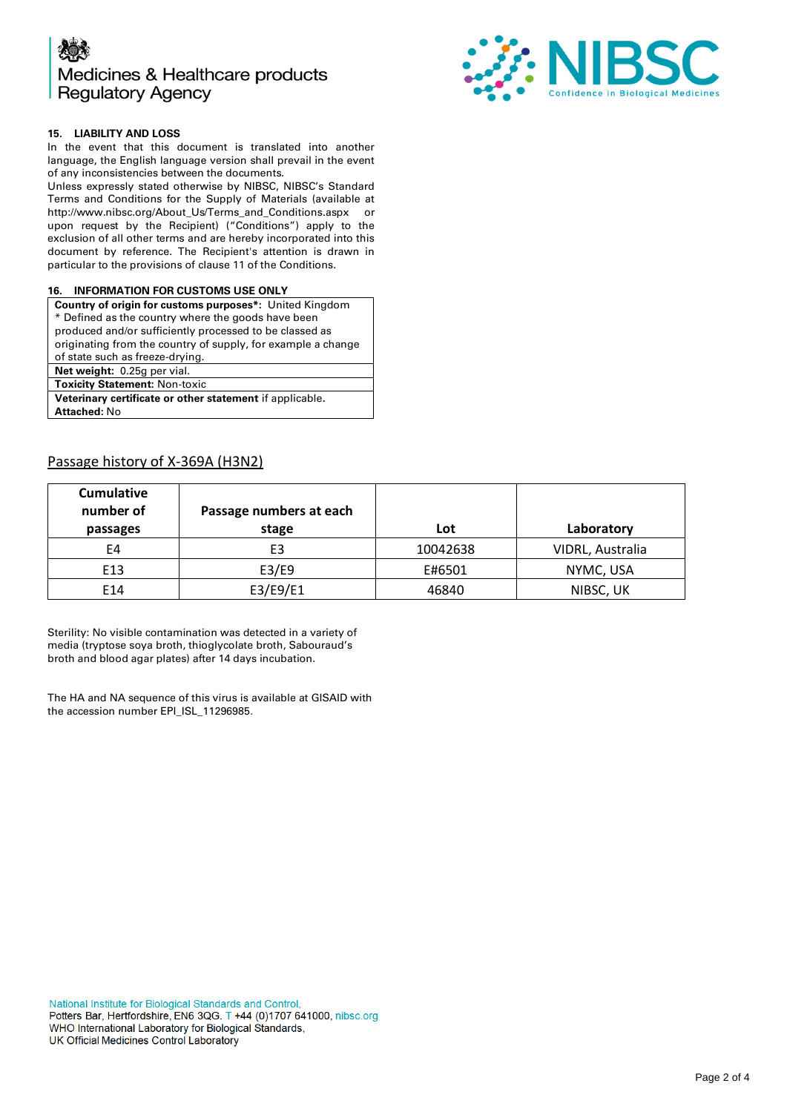



#### **15. LIABILITY AND LOSS**

In the event that this document is translated into another language, the English language version shall prevail in the event of any inconsistencies between the documents.

Unless expressly stated otherwise by NIBSC, NIBSC's Standard Terms and Conditions for the Supply of Materials (available at [http://www.nibsc.org/About\\_Us/Terms\\_and\\_Conditions.aspx](http://www.nibsc.org/About_Us/Terms_and_Conditions.aspx) or upon request by the Recipient) ("Conditions") apply to the exclusion of all other terms and are hereby incorporated into this document by reference. The Recipient's attention is drawn in particular to the provisions of clause 11 of the Conditions.

#### **16. INFORMATION FOR CUSTOMS USE ONLY**

| <b>Country of origin for customs purposes*:</b> United Kingdom |  |  |
|----------------------------------------------------------------|--|--|
| * Defined as the country where the goods have been             |  |  |
| produced and/or sufficiently processed to be classed as        |  |  |
| originating from the country of supply, for example a change   |  |  |
| of state such as freeze-drying.                                |  |  |
| Net weight: 0.25g per vial.                                    |  |  |
| <b>Toxicity Statement: Non-toxic</b>                           |  |  |
| Veterinary certificate or other statement if applicable.       |  |  |
| <b>Attached: No</b>                                            |  |  |
|                                                                |  |  |

### Passage history of X-369A (H3N2)

| <b>Cumulative</b><br>number of<br>passages | Passage numbers at each<br>stage | Lot      | Laboratory       |
|--------------------------------------------|----------------------------------|----------|------------------|
| E4                                         | E3                               | 10042638 | VIDRL, Australia |
| E <sub>13</sub>                            | E3/E9                            | E#6501   | NYMC, USA        |
| E14                                        | E3/E9/E1                         | 46840    | NIBSC, UK        |

Sterility: No visible contamination was detected in a variety of media (tryptose soya broth, thioglycolate broth, Sabouraud's broth and blood agar plates) after 14 days incubation.

The HA and NA sequence of this virus is available at GISAID with the accession number EPI\_ISL\_11296985.

National Institute for Biological Standards and Control, Potters Bar, Hertfordshire, EN6 3QG. T +44 (0)1707 641000, nibsc.org WHO International Laboratory for Biological Standards, UK Official Medicines Control Laboratory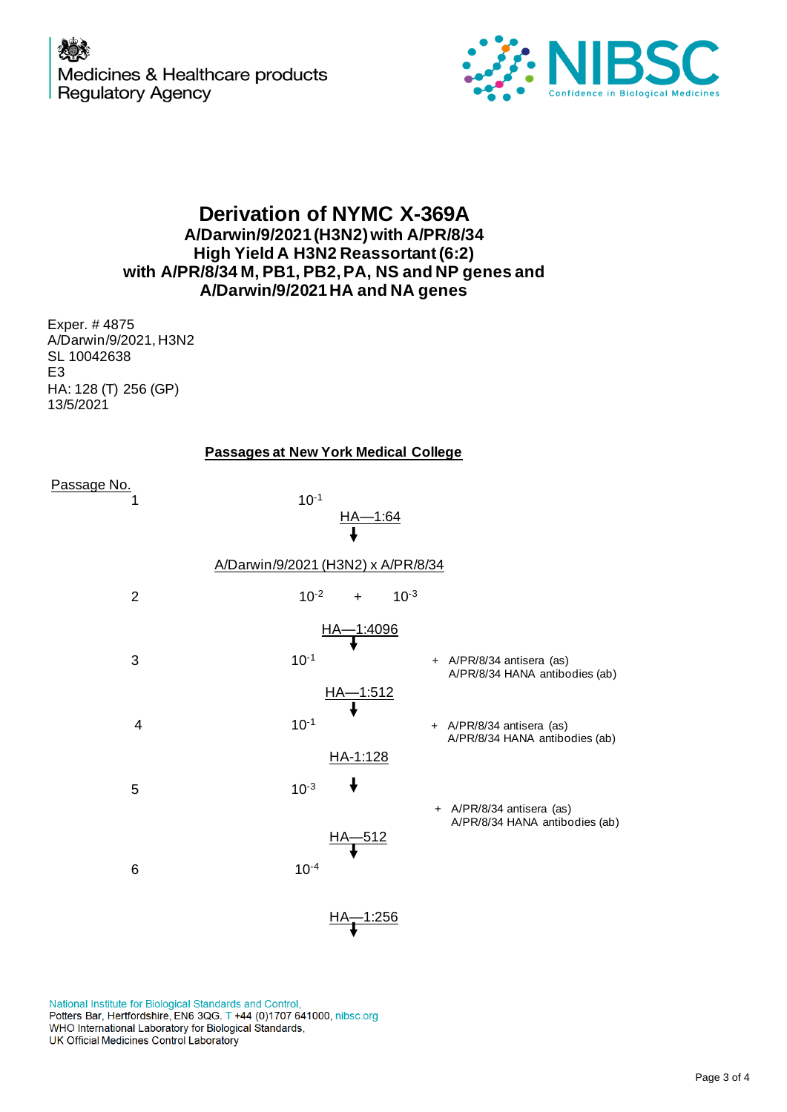

## **Derivation of NYMC X-369A A/Darwin/9/2021(H3N2)with A/PR/8/34 High Yield A H3N2 Reassortant (6:2) with A/PR/8/34 M, PB1, PB2,PA, NS and NP genes and A/Darwin/9/2021HA and NA genes**

Exper. # 4875 A/Darwin/9/2021, H3N2 SL 10042638 E3 HA: 128 (T) 256 (GP) 13/5/2021

|  |  | <b>Passages at New York Medical College</b> |
|--|--|---------------------------------------------|
|--|--|---------------------------------------------|

|                | <b>Passages at New York Medical College</b>          |                                                             |
|----------------|------------------------------------------------------|-------------------------------------------------------------|
| Passage No.    | $10^{-1}$<br>$H_A - 1:64$                            |                                                             |
|                | A/Darwin/9/2021 (H3N2) x A/PR/8/34                   |                                                             |
| $\overline{2}$ | $10^{-2}$<br>$+$                                     | $10^{-3}$                                                   |
|                | HA-1:4096                                            |                                                             |
| 3              | $10^{-1}$                                            | + A/PR/8/34 antisera (as)<br>A/PR/8/34 HANA antibodies (ab) |
| 4              | <u>НА—1:512</u><br>————————————————————<br>$10^{-1}$ | + A/PR/8/34 antisera (as)<br>A/PR/8/34 HANA antibodies (ab) |
| 5              | HA-1:128<br>↓<br>$10^{-3}$                           |                                                             |
|                | <u>512</u>                                           | + A/PR/8/34 antisera (as)<br>A/PR/8/34 HANA antibodies (ab) |
| 6              | $10^{-4}$                                            |                                                             |

National Institute for Biological Standards and Control, Potters Bar, Hertfordshire, EN6 3QG. T +44 (0)1707 641000, nibsc.org WHO International Laboratory for Biological Standards,<br>UK Official Medicines Control Laboratory